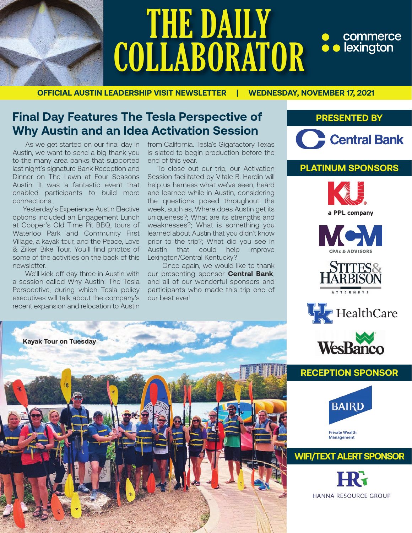

# THE DAILY • commerce<br>• lexington **COLLABORATOR**

**OFFICIAL AUSTIN LEADERSHIP VISIT NEWSLETTER | WEDNESDAY, NOVEMBER 17, 2021**

# **Final Day Features The Tesla Perspective of Why Austin and an Idea Activation Session**

 As we get started on our final day in Austin, we want to send a big thank you to the many area banks that supported last night's signature Bank Reception and Dinner on The Lawn at Four Seasons Austin. It was a fantastic event that enabled participants to build more connections.

 Yesterday's Experience Austin Elective options included an Engagement Lunch at Cooper's Old Time Pit BBQ, tours of Waterloo Park and Community First Village, a kayak tour, and the Peace, Love & Zilker Bike Tour. You'll find photos of some of the activities on the back of this newsletter.

 We'll kick off day three in Austin with a session called Why Austin: The Tesla Perspective, during which Tesla policy executives will talk about the company's recent expansion and relocation to Austin

from California. Tesla's Gigafactory Texas is slated to begin production before the end of this year.

 To close out our trip, our Activation Session facilitated by Vitale B. Hardin will help us harness what we've seen, heard and learned while in Austin, considering the questions posed throughout the week, such as, Where does Austin get its uniqueness?; What are its strengths and weaknesses?; What is something you learned about Austin that you didn't know prior to the trip?; What did you see in Austin that could help improve Lexington/Central Kentucky?

 Once again, we would like to thank our presenting sponsor **Central Bank**, and all of our wonderful sponsors and participants who made this trip one of our best ever!





## **PLATINUM SPONSORS**











### **RECEPTION SPONSOR**



**WIFI/TEXT ALERT SPONSOR**

**Management** 

**HANNA RESOURCE GROUP**